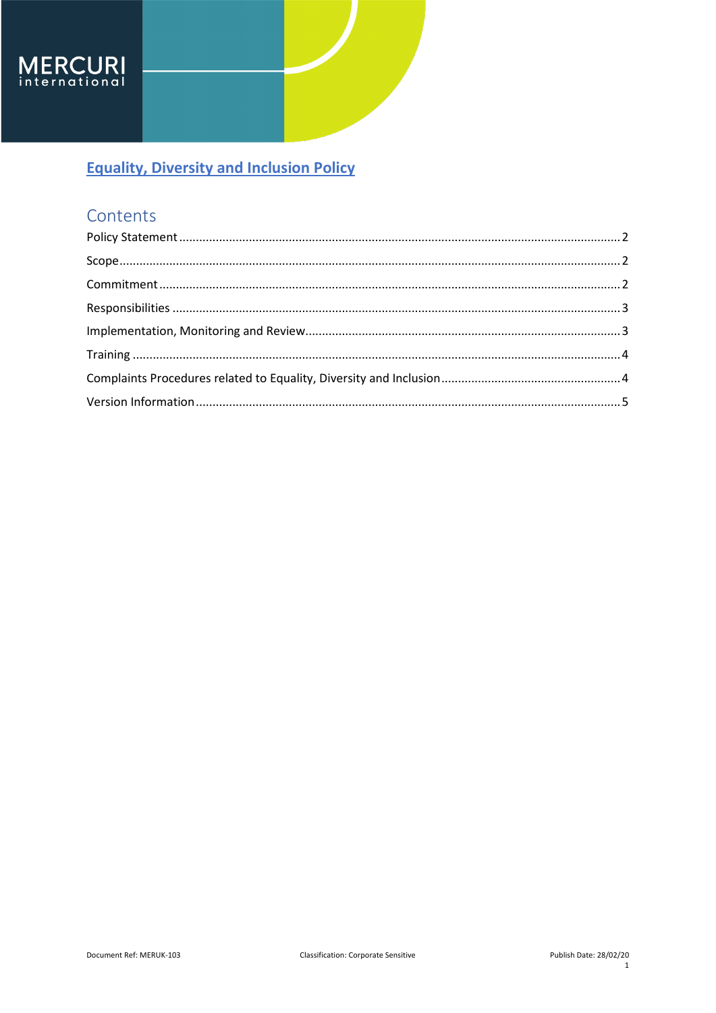

## Contents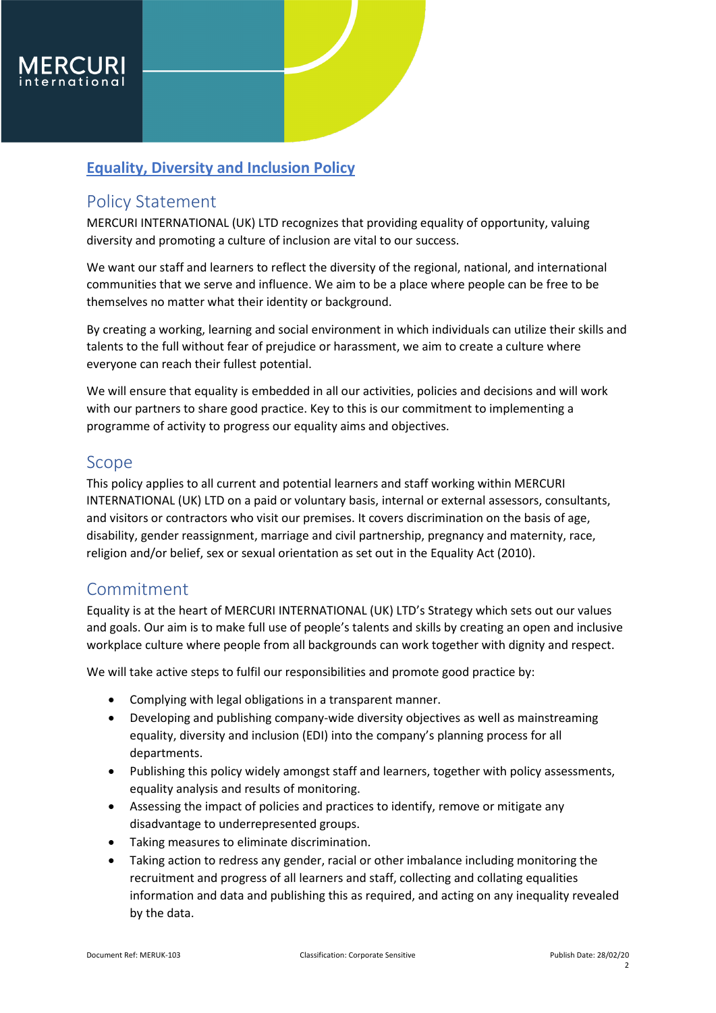

### <span id="page-1-0"></span>Policy Statement

MERCURI INTERNATIONAL (UK) LTD recognizes that providing equality of opportunity, valuing diversity and promoting a culture of inclusion are vital to our success.

We want our staff and learners to reflect the diversity of the regional, national, and international communities that we serve and influence. We aim to be a place where people can be free to be themselves no matter what their identity or background.

By creating a working, learning and social environment in which individuals can utilize their skills and talents to the full without fear of prejudice or harassment, we aim to create a culture where everyone can reach their fullest potential.

We will ensure that equality is embedded in all our activities, policies and decisions and will work with our partners to share good practice. Key to this is our commitment to implementing a programme of activity to progress our equality aims and objectives.

#### <span id="page-1-1"></span>Scope

This policy applies to all current and potential learners and staff working within MERCURI INTERNATIONAL (UK) LTD on a paid or voluntary basis, internal or external assessors, consultants, and visitors or contractors who visit our premises. It covers discrimination on the basis of age, disability, gender reassignment, marriage and civil partnership, pregnancy and maternity, race, religion and/or belief, sex or sexual orientation as set out in the Equality Act (2010).

## <span id="page-1-2"></span>Commitment

Equality is at the heart of MERCURI INTERNATIONAL (UK) LTD's Strategy which sets out our values and goals. Our aim is to make full use of people's talents and skills by creating an open and inclusive workplace culture where people from all backgrounds can work together with dignity and respect.

We will take active steps to fulfil our responsibilities and promote good practice by:

- Complying with legal obligations in a transparent manner.
- Developing and publishing company-wide diversity objectives as well as mainstreaming equality, diversity and inclusion (EDI) into the company's planning process for all departments.
- Publishing this policy widely amongst staff and learners, together with policy assessments, equality analysis and results of monitoring.
- Assessing the impact of policies and practices to identify, remove or mitigate any disadvantage to underrepresented groups.
- Taking measures to eliminate discrimination.
- Taking action to redress any gender, racial or other imbalance including monitoring the recruitment and progress of all learners and staff, collecting and collating equalities information and data and publishing this as required, and acting on any inequality revealed by the data.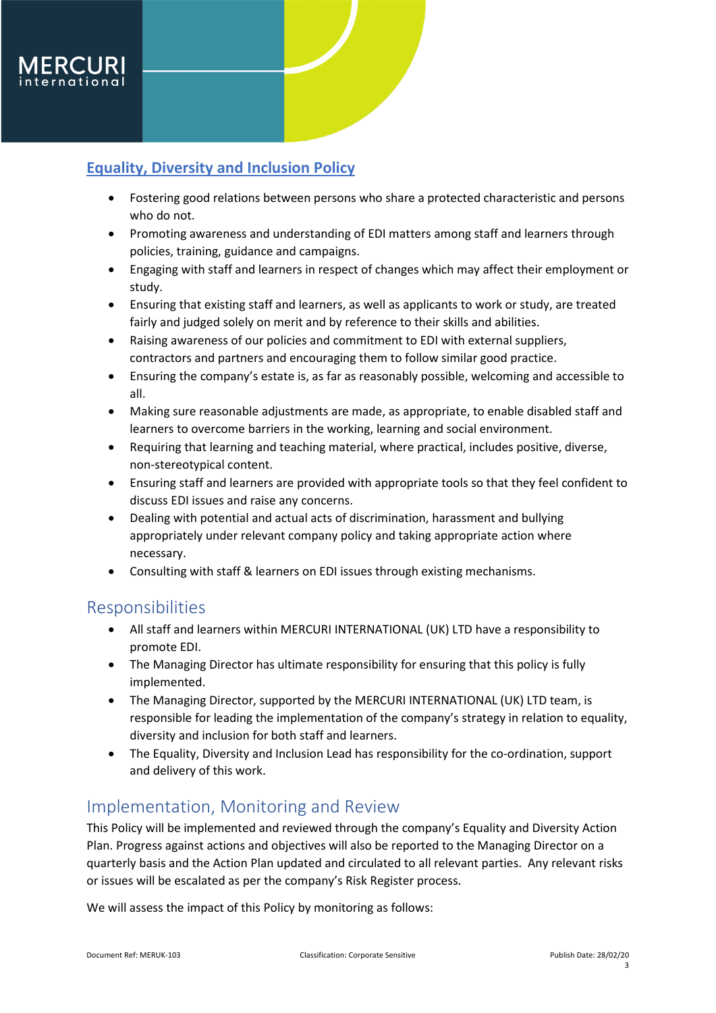

- Fostering good relations between persons who share a protected characteristic and persons who do not.
- Promoting awareness and understanding of EDI matters among staff and learners through policies, training, guidance and campaigns.
- Engaging with staff and learners in respect of changes which may affect their employment or study.
- Ensuring that existing staff and learners, as well as applicants to work or study, are treated fairly and judged solely on merit and by reference to their skills and abilities.
- Raising awareness of our policies and commitment to EDI with external suppliers, contractors and partners and encouraging them to follow similar good practice.
- Ensuring the company's estate is, as far as reasonably possible, welcoming and accessible to all.
- Making sure reasonable adjustments are made, as appropriate, to enable disabled staff and learners to overcome barriers in the working, learning and social environment.
- Requiring that learning and teaching material, where practical, includes positive, diverse, non-stereotypical content.
- Ensuring staff and learners are provided with appropriate tools so that they feel confident to discuss EDI issues and raise any concerns.
- Dealing with potential and actual acts of discrimination, harassment and bullying appropriately under relevant company policy and taking appropriate action where necessary.
- Consulting with staff & learners on EDI issues through existing mechanisms.

## <span id="page-2-0"></span>Responsibilities

- All staff and learners within MERCURI INTERNATIONAL (UK) LTD have a responsibility to promote EDI.
- The Managing Director has ultimate responsibility for ensuring that this policy is fully implemented.
- The Managing Director, supported by the MERCURI INTERNATIONAL (UK) LTD team, is responsible for leading the implementation of the company's strategy in relation to equality, diversity and inclusion for both staff and learners.
- The Equality, Diversity and Inclusion Lead has responsibility for the co-ordination, support and delivery of this work.

## <span id="page-2-1"></span>Implementation, Monitoring and Review

This Policy will be implemented and reviewed through the company's Equality and Diversity Action Plan. Progress against actions and objectives will also be reported to the Managing Director on a quarterly basis and the Action Plan updated and circulated to all relevant parties. Any relevant risks or issues will be escalated as per the company's Risk Register process.

We will assess the impact of this Policy by monitoring as follows: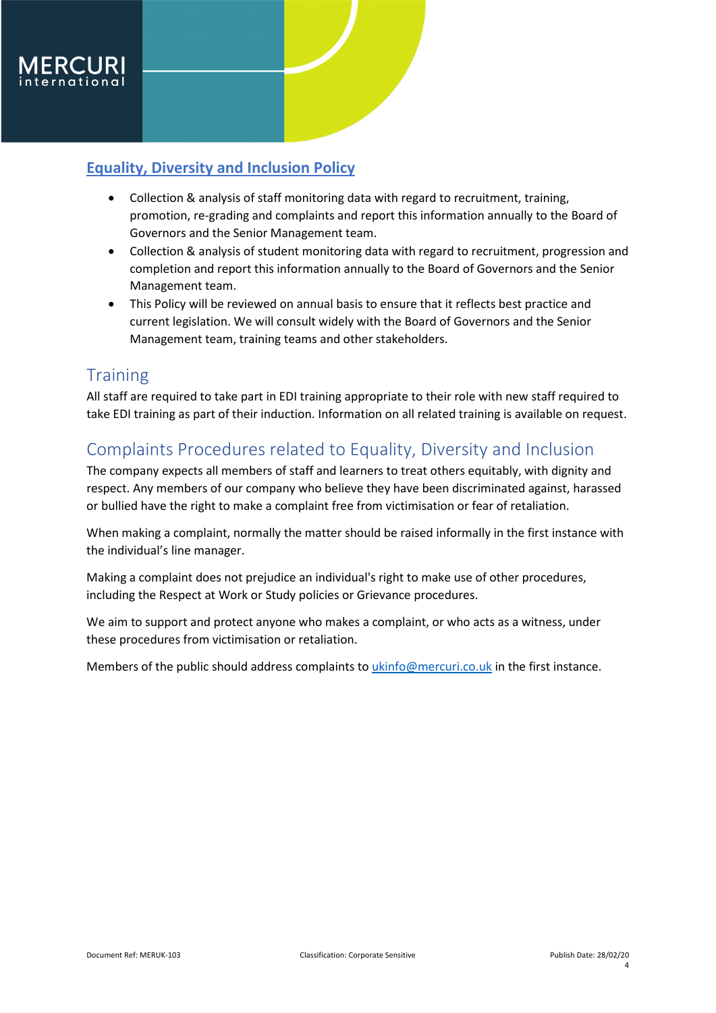

- Collection & analysis of staff monitoring data with regard to recruitment, training, promotion, re-grading and complaints and report this information annually to the Board of Governors and the Senior Management team.
- Collection & analysis of student monitoring data with regard to recruitment, progression and completion and report this information annually to the Board of Governors and the Senior Management team.
- This Policy will be reviewed on annual basis to ensure that it reflects best practice and current legislation. We will consult widely with the Board of Governors and the Senior Management team, training teams and other stakeholders.

## <span id="page-3-0"></span>**Training**

All staff are required to take part in EDI training appropriate to their role with new staff required to take EDI training as part of their induction. Information on all related training is available on request.

## <span id="page-3-1"></span>Complaints Procedures related to Equality, Diversity and Inclusion

The company expects all members of staff and learners to treat others equitably, with dignity and respect. Any members of our company who believe they have been discriminated against, harassed or bullied have the right to make a complaint free from victimisation or fear of retaliation.

When making a complaint, normally the matter should be raised informally in the first instance with the individual's line manager.

Making a complaint does not prejudice an individual's right to make use of other procedures, including the Respect at Work or Study policies or Grievance procedures.

We aim to support and protect anyone who makes a complaint, or who acts as a witness, under these procedures from victimisation or retaliation.

Members of the public should address complaints to *ukinfo@mercuri.co.uk* in the first instance.